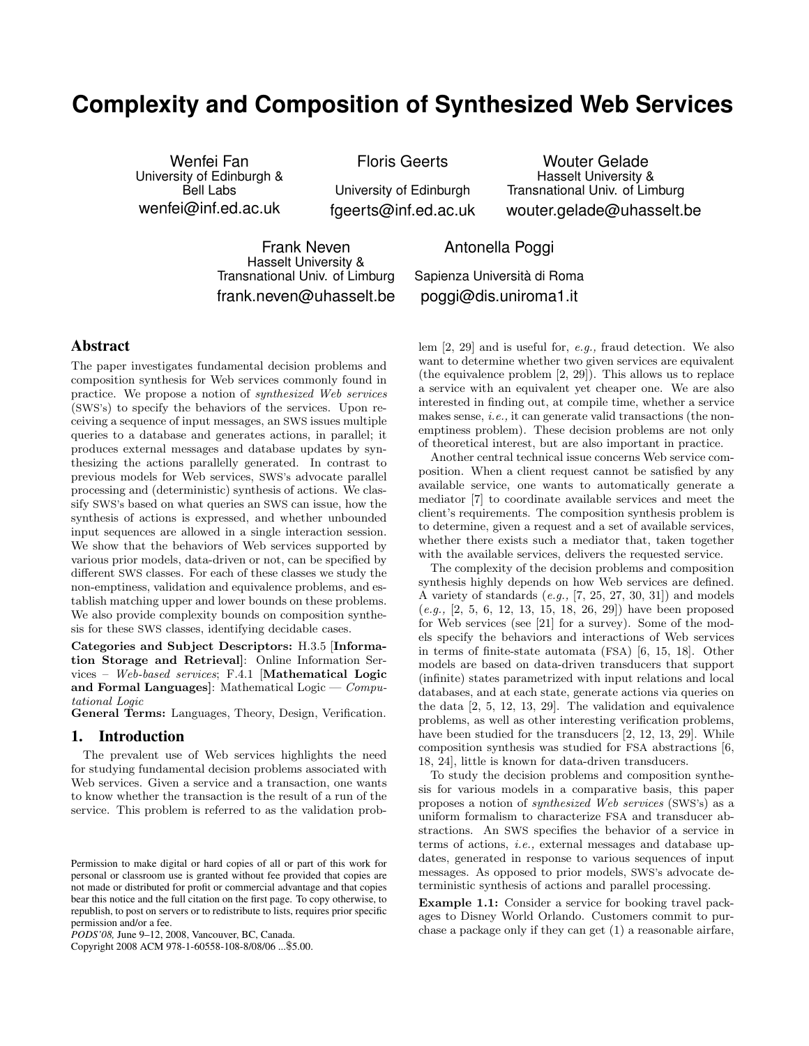# **Complexity and Composition of Synthesized Web Services**

Wenfei Fan University of Edinburgh & Bell Labs wenfei@inf.ed.ac.uk

Floris Geerts

University of Edinburgh fgeerts@inf.ed.ac.uk

Wouter Gelade Hasselt University & Transnational Univ. of Limburg wouter.gelade@uhasselt.be

Frank Neven Hasselt University & Transnational Univ. of Limburg frank.neven@uhasselt.be

## Antonella Poggi

Sapienza Università di Roma poggi@dis.uniroma1.it

## **Abstract**

The paper investigates fundamental decision problems and composition synthesis for Web services commonly found in practice. We propose a notion of synthesized Web services (SWS's) to specify the behaviors of the services. Upon receiving a sequence of input messages, an SWS issues multiple queries to a database and generates actions, in parallel; it produces external messages and database updates by synthesizing the actions parallelly generated. In contrast to previous models for Web services, SWS's advocate parallel processing and (deterministic) synthesis of actions. We classify SWS's based on what queries an SWS can issue, how the synthesis of actions is expressed, and whether unbounded input sequences are allowed in a single interaction session. We show that the behaviors of Web services supported by various prior models, data-driven or not, can be specified by different SWS classes. For each of these classes we study the non-emptiness, validation and equivalence problems, and establish matching upper and lower bounds on these problems. We also provide complexity bounds on composition synthesis for these SWS classes, identifying decidable cases.

Categories and Subject Descriptors: H.3.5 [Information Storage and Retrieval]: Online Information Services – Web-based services; F.4.1 [Mathematical Logic and Formal Languages]: Mathematical Logic  $-$  Computational Logic

General Terms: Languages, Theory, Design, Verification.

#### **1. Introduction**

The prevalent use of Web services highlights the need for studying fundamental decision problems associated with Web services. Given a service and a transaction, one wants to know whether the transaction is the result of a run of the service. This problem is referred to as the validation prob-

Copyright 2008 ACM 978-1-60558-108-8/08/06 ...\$5.00.

lem [2, 29] and is useful for, e.g., fraud detection. We also want to determine whether two given services are equivalent (the equivalence problem [2, 29]). This allows us to replace a service with an equivalent yet cheaper one. We are also interested in finding out, at compile time, whether a service makes sense, i.e., it can generate valid transactions (the nonemptiness problem). These decision problems are not only of theoretical interest, but are also important in practice.

Another central technical issue concerns Web service composition. When a client request cannot be satisfied by any available service, one wants to automatically generate a mediator [7] to coordinate available services and meet the client's requirements. The composition synthesis problem is to determine, given a request and a set of available services, whether there exists such a mediator that, taken together with the available services, delivers the requested service.

The complexity of the decision problems and composition synthesis highly depends on how Web services are defined. A variety of standards  $(e.g., [7, 25, 27, 30, 31])$  and models  $(e.g., [2, 5, 6, 12, 13, 15, 18, 26, 29])$  have been proposed for Web services (see [21] for a survey). Some of the models specify the behaviors and interactions of Web services in terms of finite-state automata (FSA) [6, 15, 18]. Other models are based on data-driven transducers that support (infinite) states parametrized with input relations and local databases, and at each state, generate actions via queries on the data [2, 5, 12, 13, 29]. The validation and equivalence problems, as well as other interesting verification problems, have been studied for the transducers [2, 12, 13, 29]. While composition synthesis was studied for FSA abstractions [6, 18, 24], little is known for data-driven transducers.

To study the decision problems and composition synthesis for various models in a comparative basis, this paper proposes a notion of synthesized Web services (SWS's) as a uniform formalism to characterize FSA and transducer abstractions. An SWS specifies the behavior of a service in terms of actions, i.e., external messages and database updates, generated in response to various sequences of input messages. As opposed to prior models, SWS's advocate deterministic synthesis of actions and parallel processing.

Example 1.1: Consider a service for booking travel packages to Disney World Orlando. Customers commit to purchase a package only if they can get (1) a reasonable airfare,

Permission to make digital or hard copies of all or part of this work for personal or classroom use is granted without fee provided that copies are not made or distributed for profit or commercial advantage and that copies bear this notice and the full citation on the first page. To copy otherwise, to republish, to post on servers or to redistribute to lists, requires prior specific permission and/or a fee.

*PODS'08,* June 9–12, 2008, Vancouver, BC, Canada.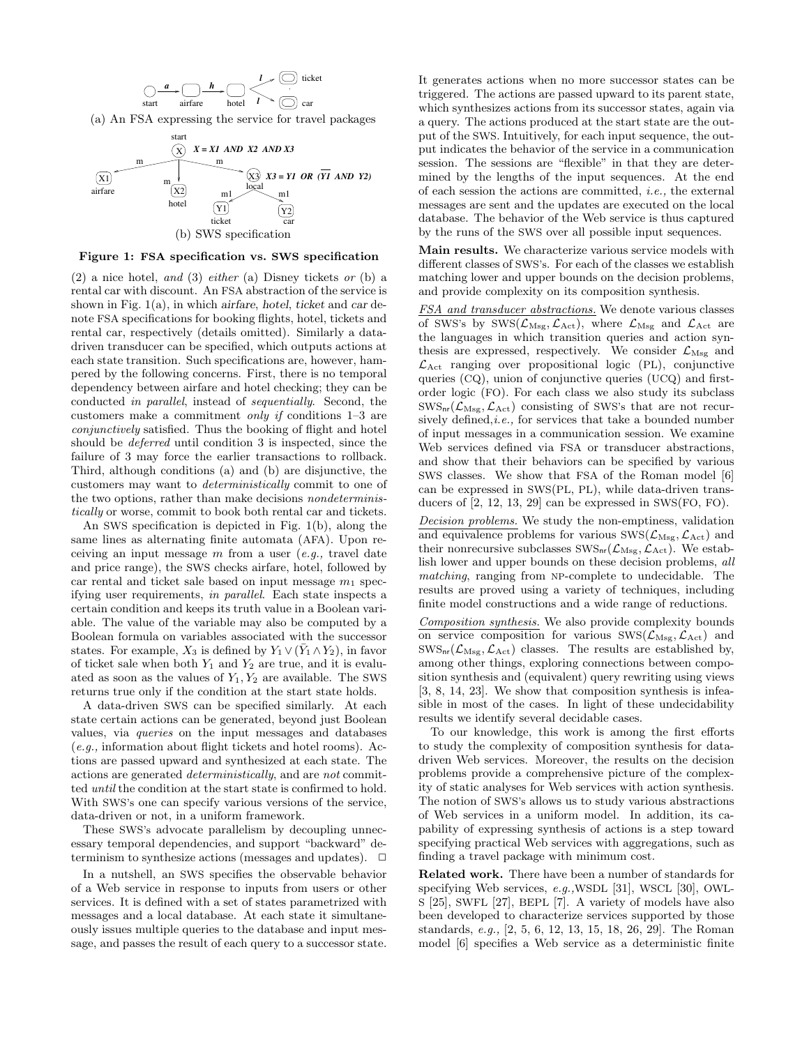$$
\bigcirc \xrightarrow{\mathbf{a}} \bigcirc \xrightarrow{\mathbf{h}} \bigcirc \bigcirc \xrightarrow{\mathbf{h}} \bigcirc \bigcirc \bigcirc \bigcirc \bigcirc \bigcirc \bigcirc
$$
 ticket  
start  
airfare  
hotel  
1

(a) An FSA expressing the service for travel packages



#### Figure 1: FSA specification vs. SWS specification

 $(2)$  a nice hotel, and  $(3)$  either  $(a)$  Disney tickets or  $(b)$  a rental car with discount. An FSA abstraction of the service is shown in Fig. 1(a), in which airfare, hotel, ticket and car denote FSA specifications for booking flights, hotel, tickets and rental car, respectively (details omitted). Similarly a datadriven transducer can be specified, which outputs actions at each state transition. Such specifications are, however, hampered by the following concerns. First, there is no temporal dependency between airfare and hotel checking; they can be conducted in parallel, instead of sequentially. Second, the customers make a commitment only if conditions 1–3 are conjunctively satisfied. Thus the booking of flight and hotel should be deferred until condition 3 is inspected, since the failure of 3 may force the earlier transactions to rollback. Third, although conditions (a) and (b) are disjunctive, the customers may want to deterministically commit to one of the two options, rather than make decisions nondeterministically or worse, commit to book both rental car and tickets.

An SWS specification is depicted in Fig. 1(b), along the same lines as alternating finite automata (AFA). Upon receiving an input message  $m$  from a user (e.g., travel date and price range), the SWS checks airfare, hotel, followed by car rental and ticket sale based on input message  $m_1$  specifying user requirements, in parallel. Each state inspects a certain condition and keeps its truth value in a Boolean variable. The value of the variable may also be computed by a Boolean formula on variables associated with the successor states. For example,  $X_3$  is defined by  $Y_1 \vee (\bar{Y}_1 \wedge Y_2)$ , in favor of ticket sale when both  $Y_1$  and  $Y_2$  are true, and it is evaluated as soon as the values of  $Y_1, Y_2$  are available. The SWS returns true only if the condition at the start state holds.

A data-driven SWS can be specified similarly. At each state certain actions can be generated, beyond just Boolean values, via queries on the input messages and databases (e.g., information about flight tickets and hotel rooms). Actions are passed upward and synthesized at each state. The actions are generated deterministically, and are not committed until the condition at the start state is confirmed to hold. With SWS's one can specify various versions of the service, data-driven or not, in a uniform framework.

These SWS's advocate parallelism by decoupling unnecessary temporal dependencies, and support "backward" determinism to synthesize actions (messages and updates).  $\Box$ 

In a nutshell, an SWS specifies the observable behavior of a Web service in response to inputs from users or other services. It is defined with a set of states parametrized with messages and a local database. At each state it simultaneously issues multiple queries to the database and input message, and passes the result of each query to a successor state. It generates actions when no more successor states can be triggered. The actions are passed upward to its parent state, which synthesizes actions from its successor states, again via a query. The actions produced at the start state are the output of the SWS. Intuitively, for each input sequence, the output indicates the behavior of the service in a communication session. The sessions are "flexible" in that they are determined by the lengths of the input sequences. At the end of each session the actions are committed, i.e., the external messages are sent and the updates are executed on the local database. The behavior of the Web service is thus captured by the runs of the SWS over all possible input sequences.

Main results. We characterize various service models with different classes of SWS's. For each of the classes we establish matching lower and upper bounds on the decision problems, and provide complexity on its composition synthesis.

FSA and transducer abstractions. We denote various classes of SWS's by SWS( $\mathcal{L}_{\mathrm{Msg}}, \mathcal{L}_{\mathrm{Act}}$ ), where  $\mathcal{L}_{\mathrm{Msg}}$  and  $\mathcal{L}_{\mathrm{Act}}$  are the languages in which transition queries and action synthesis are expressed, respectively. We consider  $\mathcal{L}_{\text{Msg}}$  and  $\mathcal{L}_{\text{Act}}$  ranging over propositional logic (PL), conjunctive queries (CQ), union of conjunctive queries (UCQ) and firstorder logic (FO). For each class we also study its subclass  $\text{SWS}_{\text{nr}}(\mathcal{L}_{\text{Msg}}, \mathcal{L}_{\text{Act}})$  consisting of SWS's that are not recursively defined, *i.e.*, for services that take a bounded number of input messages in a communication session. We examine Web services defined via FSA or transducer abstractions, and show that their behaviors can be specified by various SWS classes. We show that FSA of the Roman model [6] can be expressed in SWS(PL, PL), while data-driven transducers of [2, 12, 13, 29] can be expressed in SWS(FO, FO).

Decision problems. We study the non-emptiness, validation and equivalence problems for various  $\text{SWS}(\mathcal{L}_{\text{Msg}}, \mathcal{L}_{\text{Act}})$  and their nonrecursive subclasses  $\text{SWS}_{\text{nr}}(\mathcal{L}_{\text{Msg}}, \mathcal{L}_{\text{Act}})$ . We establish lower and upper bounds on these decision problems, all matching, ranging from NP-complete to undecidable. The results are proved using a variety of techniques, including finite model constructions and a wide range of reductions.

Composition synthesis. We also provide complexity bounds on service composition for various  $\text{SWS}(\mathcal{L}_{\text{Msg}}, \mathcal{L}_{\text{Act}})$  and  $\text{SWS}_{\text{nr}}(\mathcal{L}_{\text{Msg}}, \mathcal{L}_{\text{Act}})$  classes. The results are established by, among other things, exploring connections between composition synthesis and (equivalent) query rewriting using views [3, 8, 14, 23]. We show that composition synthesis is infeasible in most of the cases. In light of these undecidability results we identify several decidable cases.

To our knowledge, this work is among the first efforts to study the complexity of composition synthesis for datadriven Web services. Moreover, the results on the decision problems provide a comprehensive picture of the complexity of static analyses for Web services with action synthesis. The notion of SWS's allows us to study various abstractions of Web services in a uniform model. In addition, its capability of expressing synthesis of actions is a step toward specifying practical Web services with aggregations, such as finding a travel package with minimum cost.

Related work. There have been a number of standards for specifying Web services, e.g.,WSDL [31], WSCL [30], OWL-S [25], SWFL [27], BEPL [7]. A variety of models have also been developed to characterize services supported by those standards, e.g., [2, 5, 6, 12, 13, 15, 18, 26, 29]. The Roman model [6] specifies a Web service as a deterministic finite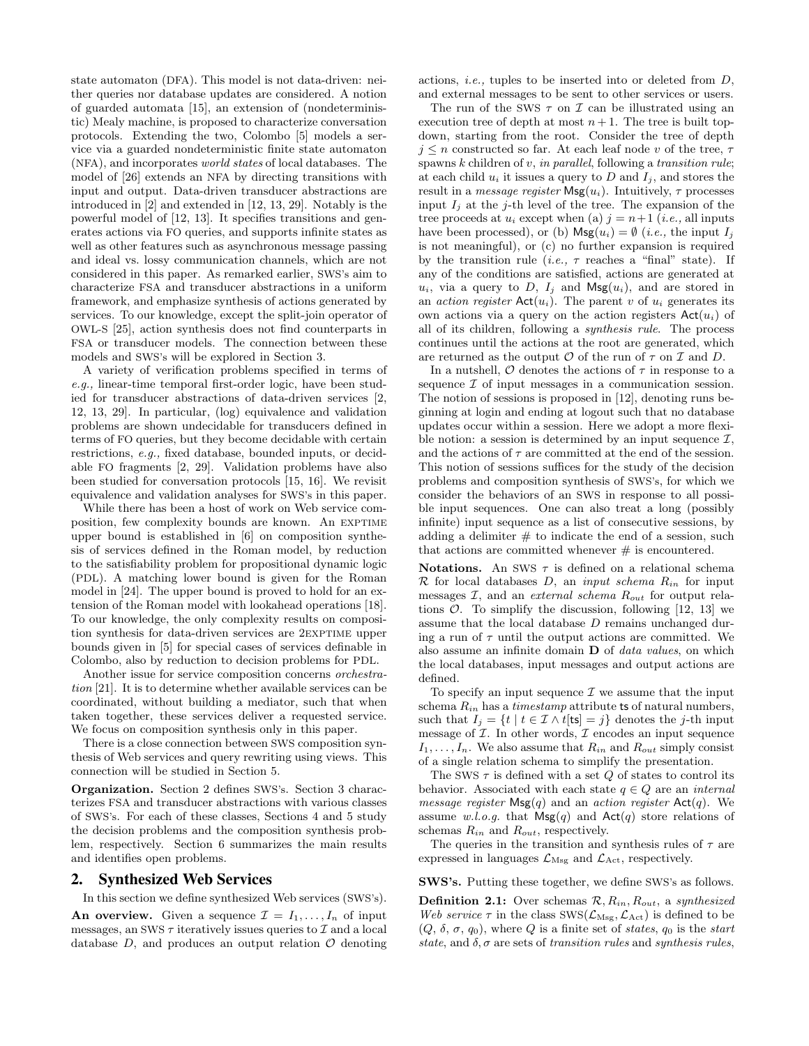state automaton (DFA). This model is not data-driven: neither queries nor database updates are considered. A notion of guarded automata [15], an extension of (nondeterministic) Mealy machine, is proposed to characterize conversation protocols. Extending the two, Colombo [5] models a service via a guarded nondeterministic finite state automaton (NFA), and incorporates world states of local databases. The model of [26] extends an NFA by directing transitions with input and output. Data-driven transducer abstractions are introduced in [2] and extended in [12, 13, 29]. Notably is the powerful model of [12, 13]. It specifies transitions and generates actions via FO queries, and supports infinite states as well as other features such as asynchronous message passing and ideal vs. lossy communication channels, which are not considered in this paper. As remarked earlier, SWS's aim to characterize FSA and transducer abstractions in a uniform framework, and emphasize synthesis of actions generated by services. To our knowledge, except the split-join operator of OWL-S [25], action synthesis does not find counterparts in FSA or transducer models. The connection between these models and SWS's will be explored in Section 3.

A variety of verification problems specified in terms of e.g., linear-time temporal first-order logic, have been studied for transducer abstractions of data-driven services [2, 12, 13, 29]. In particular, (log) equivalence and validation problems are shown undecidable for transducers defined in terms of FO queries, but they become decidable with certain restrictions, e.g., fixed database, bounded inputs, or decidable FO fragments [2, 29]. Validation problems have also been studied for conversation protocols [15, 16]. We revisit equivalence and validation analyses for SWS's in this paper.

While there has been a host of work on Web service composition, few complexity bounds are known. An EXPTIME upper bound is established in [6] on composition synthesis of services defined in the Roman model, by reduction to the satisfiability problem for propositional dynamic logic (PDL). A matching lower bound is given for the Roman model in [24]. The upper bound is proved to hold for an extension of the Roman model with lookahead operations [18]. To our knowledge, the only complexity results on composition synthesis for data-driven services are 2EXPTIME upper bounds given in [5] for special cases of services definable in Colombo, also by reduction to decision problems for PDL.

Another issue for service composition concerns orchestration [21]. It is to determine whether available services can be coordinated, without building a mediator, such that when taken together, these services deliver a requested service. We focus on composition synthesis only in this paper.

There is a close connection between SWS composition synthesis of Web services and query rewriting using views. This connection will be studied in Section 5.

Organization. Section 2 defines SWS's. Section 3 characterizes FSA and transducer abstractions with various classes of SWS's. For each of these classes, Sections 4 and 5 study the decision problems and the composition synthesis problem, respectively. Section 6 summarizes the main results and identifies open problems.

## **2. Synthesized Web Services**

In this section we define synthesized Web services (SWS's).

An overview. Given a sequence  $\mathcal{I} = I_1, \ldots, I_n$  of input messages, an SWS  $\tau$  iteratively issues queries to  $\mathcal I$  and a local database  $D$ , and produces an output relation  $\mathcal O$  denoting actions, i.e., tuples to be inserted into or deleted from D, and external messages to be sent to other services or users.

The run of the SWS  $\tau$  on  $\mathcal I$  can be illustrated using an execution tree of depth at most  $n+1$ . The tree is built topdown, starting from the root. Consider the tree of depth  $j \leq n$  constructed so far. At each leaf node v of the tree,  $\tau$ spawns  $k$  children of  $v$ , in parallel, following a transition rule; at each child  $u_i$  it issues a query to D and  $I_i$ , and stores the result in a *message register*  $\mathsf{Msg}(u_i)$ . Intuitively,  $\tau$  processes input  $I_i$  at the j-th level of the tree. The expansion of the tree proceeds at  $u_i$  except when (a)  $j = n+1$  (*i.e.*, all inputs have been processed), or (b)  $\mathsf{Msg}(u_i) = \emptyset$  (*i.e.*, the input  $I_i$ is not meaningful), or (c) no further expansion is required by the transition rule (*i.e.*,  $\tau$  reaches a "final" state). If any of the conditions are satisfied, actions are generated at  $u_i$ , via a query to D,  $I_j$  and  $\mathsf{Msg}(u_i)$ , and are stored in an *action register*  $Act(u_i)$ . The parent v of  $u_i$  generates its own actions via a query on the action registers  $Act(u_i)$  of all of its children, following a synthesis rule. The process continues until the actions at the root are generated, which are returned as the output  $O$  of the run of  $\tau$  on  $\mathcal I$  and  $D$ .

In a nutshell,  $O$  denotes the actions of  $\tau$  in response to a sequence  $\mathcal I$  of input messages in a communication session. The notion of sessions is proposed in [12], denoting runs beginning at login and ending at logout such that no database updates occur within a session. Here we adopt a more flexible notion: a session is determined by an input sequence  $\mathcal{I}$ , and the actions of  $\tau$  are committed at the end of the session. This notion of sessions suffices for the study of the decision problems and composition synthesis of SWS's, for which we consider the behaviors of an SWS in response to all possible input sequences. One can also treat a long (possibly infinite) input sequence as a list of consecutive sessions, by adding a delimiter  $#$  to indicate the end of a session, such that actions are committed whenever  $#$  is encountered.

Notations. An SWS  $\tau$  is defined on a relational schema  $\mathcal R$  for local databases  $D$ , an *input schema*  $R_{in}$  for input messages  $I$ , and an *external schema*  $R_{out}$  for output relations  $\mathcal{O}$ . To simplify the discussion, following [12, 13] we assume that the local database D remains unchanged during a run of  $\tau$  until the output actions are committed. We also assume an infinite domain D of data values, on which the local databases, input messages and output actions are defined.

To specify an input sequence  $\mathcal I$  we assume that the input schema  $R_{in}$  has a *timestamp* attribute ts of natural numbers, such that  $I_j = \{t \mid t \in \mathcal{I} \land t[t_s] = j\}$  denotes the j-th input message of  $\mathcal I$ . In other words,  $\mathcal I$  encodes an input sequence  $I_1, \ldots, I_n$ . We also assume that  $R_{in}$  and  $R_{out}$  simply consist of a single relation schema to simplify the presentation.

The SWS  $\tau$  is defined with a set  $Q$  of states to control its behavior. Associated with each state  $q \in Q$  are an *internal* message register  $\mathsf{Msg}(q)$  and an action register  $\mathsf{Act}(q)$ . We assume w.l.o.g. that  $Msg(q)$  and  $Act(q)$  store relations of schemas  $R_{in}$  and  $R_{out}$ , respectively.

The queries in the transition and synthesis rules of  $\tau$  are expressed in languages  $\mathcal{L}_{\text{Msg}}$  and  $\mathcal{L}_{\text{Act}}$ , respectively.

SWS's. Putting these together, we define SWS's as follows.

**Definition 2.1:** Over schemas  $\mathcal{R}, R_{in}, R_{out}$ , a synthesized Web service  $\tau$  in the class SWS( $\mathcal{L}_{\text{Msg}}, \mathcal{L}_{\text{Act}}$ ) is defined to be  $(Q, \delta, \sigma, q_0)$ , where Q is a finite set of states,  $q_0$  is the start state, and  $\delta$ ,  $\sigma$  are sets of transition rules and synthesis rules.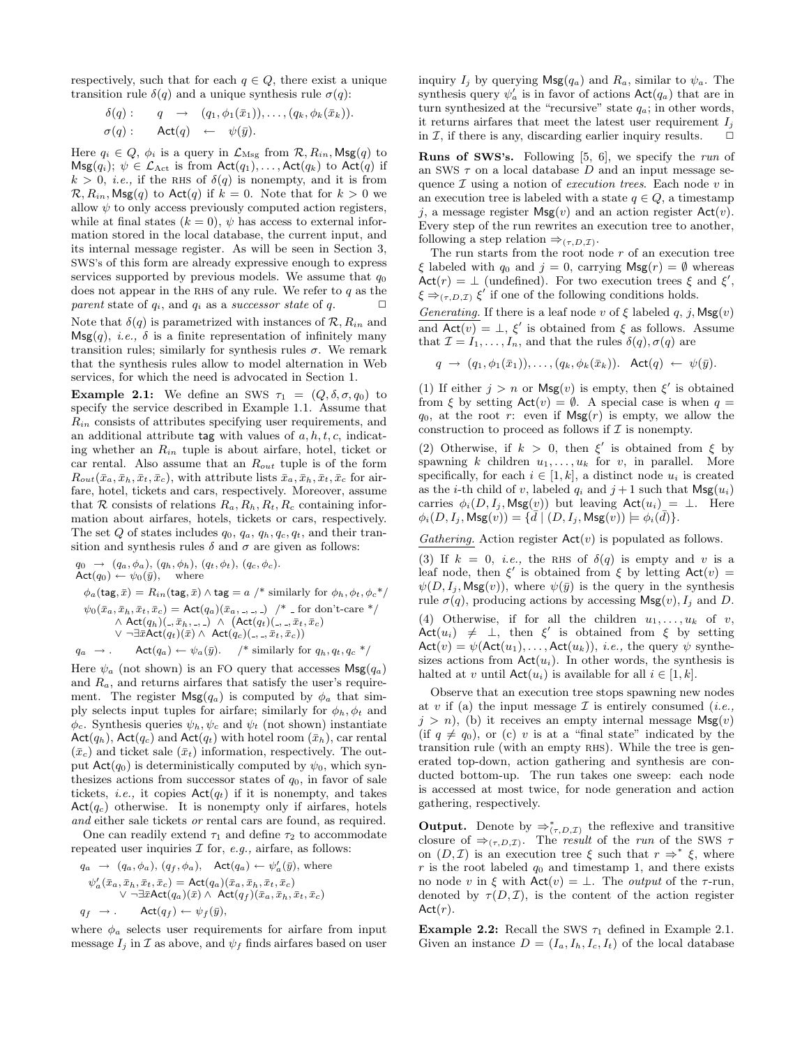respectively, such that for each  $q \in Q$ , there exist a unique transition rule  $\delta(q)$  and a unique synthesis rule  $\sigma(q)$ :

$$
\begin{array}{rcl}\n\delta(q):& q & \rightarrow & (q_1, \phi_1(\bar{x}_1)), \dots, (q_k, \phi_k(\bar{x}_k)). \\
\sigma(q):& \mathsf{Act}(q) & \leftarrow & \psi(\bar{y}).\n\end{array}
$$

Here  $q_i \in Q$ ,  $\phi_i$  is a query in  $\mathcal{L}_{\text{Msg}}$  from  $\mathcal{R}, R_{in}$ , Msg $(q)$  to  $\mathsf{Msg}(q_i); \psi \in \mathcal{L}_{\text{Act}}$  is from  $\mathsf{Act}(q_1), \ldots, \mathsf{Act}(q_k)$  to  $\mathsf{Act}(q)$  if  $k > 0$ , *i.e.*, if the RHS of  $\delta(q)$  is nonempty, and it is from  $\mathcal{R}, R_{in}$ , Msg $(q)$  to Act $(q)$  if  $k = 0$ . Note that for  $k > 0$  we allow  $\psi$  to only access previously computed action registers, while at final states  $(k = 0)$ ,  $\psi$  has access to external information stored in the local database, the current input, and its internal message register. As will be seen in Section 3, SWS's of this form are already expressive enough to express services supported by previous models. We assume that  $q_0$ does not appear in the RHS of any rule. We refer to  $q$  as the parent state of  $q_i$ , and  $q_i$  as a successor state of  $q$ .  $\Box$ Note that  $\delta(q)$  is parametrized with instances of  $\mathcal{R}, R_{in}$  and  $\mathsf{Msg}(q)$ , *i.e.*,  $\delta$  is a finite representation of infinitely many transition rules; similarly for synthesis rules  $\sigma$ . We remark

that the synthesis rules allow to model alternation in Web services, for which the need is advocated in Section 1.

Example 2.1: We define an SWS  $\tau_1 = (Q, \delta, \sigma, q_0)$  to specify the service described in Example 1.1. Assume that  $R_{in}$  consists of attributes specifying user requirements, and an additional attribute tag with values of  $a, h, t, c$ , indicating whether an  $R_{in}$  tuple is about airfare, hotel, ticket or car rental. Also assume that an  $R_{out}$  tuple is of the form  $R_{out}(\bar{x}_a, \bar{x}_b, \bar{x}_t, \bar{x}_c)$ , with attribute lists  $\bar{x}_a, \bar{x}_b, \bar{x}_t, \bar{x}_c$  for airfare, hotel, tickets and cars, respectively. Moreover, assume that R consists of relations  $R_a, R_b, R_t, R_c$  containing information about airfares, hotels, tickets or cars, respectively. The set Q of states includes  $q_0, q_a, q_h, q_c, q_t$ , and their transition and synthesis rules  $\delta$  and  $\sigma$  are given as follows:

$$
q_0 \rightarrow (q_a, \phi_a), (q_h, \phi_h), (q_t, \phi_t), (q_c, \phi_c).
$$
  
\n
$$
Act(q_0) \leftarrow \psi_0(\bar{y}), \text{ where}
$$
  
\n
$$
\phi_a(\text{tag}, \bar{x}) = R_{in}(\text{tag}, \bar{x}) \land \text{tag} = a \text{ /* similarly for } \phi_h, \phi_t, \phi_c \text{ */}
$$
  
\n
$$
\psi_0(\bar{x}_a, \bar{x}_h, \bar{x}_t, \bar{x}_c) = Act(q_a)(\bar{x}_a, \ldots, \ldots) \text{ /* for don't-care */}
$$
  
\n
$$
\land Act(q_h)(., \bar{x}_h, \ldots) \land (Act(q_t)(.,., \bar{x}_t, \bar{x}_c))
$$
  
\n
$$
\lor \neg \exists \bar{x} Act(q_t)(\bar{x}) \land Act(q_c)(.,., \bar{x}_t, \bar{x}_c))
$$
  
\n
$$
q_a \rightarrow \text{Act}(q_a) \leftarrow \psi_a(\bar{y}). \quad \text{/* similarly for } q_h, q_t, q_c \text{ */}
$$

Here  $\psi_a$  (not shown) is an FO query that accesses  $\mathsf{Msg}(q_a)$ and  $R_a$ , and returns airfares that satisfy the user's requirement. The register  $\mathsf{Msg}(q_a)$  is computed by  $\phi_a$  that simply selects input tuples for airfare; similarly for  $\phi_h$ ,  $\phi_t$  and  $\phi_c$ . Synthesis queries  $\psi_h, \psi_c$  and  $\psi_t$  (not shown) instantiate  $Act(q_h)$ ,  $Act(q_c)$  and  $Act(q_t)$  with hotel room  $(\bar{x}_h)$ , car rental  $(\bar{x}_c)$  and ticket sale  $(\bar{x}_t)$  information, respectively. The output  $\text{Act}(q_0)$  is deterministically computed by  $\psi_0$ , which synthesizes actions from successor states of  $q_0$ , in favor of sale tickets, *i.e.*, it copies  $Act(q_t)$  if it is nonempty, and takes  $Act(q_c)$  otherwise. It is nonempty only if airfares, hotels and either sale tickets or rental cars are found, as required.

One can readily extend  $\tau_1$  and define  $\tau_2$  to accommodate repeated user inquiries  $\mathcal I$  for, e.g., airfare, as follows:

$$
q_a \rightarrow (q_a, \phi_a), (q_f, \phi_a), \text{ Act}(q_a) \leftarrow \psi'_a(\bar{y}), \text{ where}
$$
  
\n
$$
\psi'_a(\bar{x}_a, \bar{x}_h, \bar{x}_t, \bar{x}_c) = \text{Act}(q_a)(\bar{x}_a, \bar{x}_h, \bar{x}_t, \bar{x}_c)
$$
  
\n
$$
\vee \neg \exists \bar{x} \text{Act}(q_a)(\bar{x}) \land \text{Act}(q_f)(\bar{x}_a, \bar{x}_h, \bar{x}_t, \bar{x}_c)
$$
  
\n
$$
q_f \rightarrow \text{Act}(q_f) \leftarrow \psi_f(\bar{y}),
$$

where  $\phi_a$  selects user requirements for airfare from input message  $I_j$  in  $\mathcal I$  as above, and  $\psi_f$  finds airfares based on user inquiry  $I_j$  by querying  $\mathsf{Msg}(q_a)$  and  $R_a$ , similar to  $\psi_a$ . The synthesis query  $\psi'_a$  is in favor of actions  $\textsf{Act}(q_a)$  that are in turn synthesized at the "recursive" state  $q_a$ ; in other words, it returns airfares that meet the latest user requirement  $I_i$ in  $\mathcal I$ , if there is any, discarding earlier inquiry results.  $\Box$ 

Runs of SWS's. Following [5, 6], we specify the run of an SWS  $\tau$  on a local database D and an input message sequence  $\mathcal I$  using a notion of execution trees. Each node v in an execution tree is labeled with a state  $q \in Q$ , a timestamp j, a message register  $\mathsf{Msg}(v)$  and an action register  $\mathsf{Act}(v)$ . Every step of the run rewrites an execution tree to another, following a step relation  $\Rightarrow_{(\tau,D,\mathcal{I})}$ .

The run starts from the root node  $r$  of an execution tree  $\xi$  labeled with  $q_0$  and  $j = 0$ , carrying  $\mathsf{Msg}(r) = \emptyset$  whereas Act(r) =  $\perp$  (undefined). For two execution trees  $\xi$  and  $\xi'$ ,  $\xi \Rightarrow_{(\tau,D,\mathcal{I})} \xi'$  if one of the following conditions holds.

Generating. If there is a leaf node v of  $\xi$  labeled q, j,  $\mathsf{Msg}(v)$ and  $\overline{\text{Act}(v)} = \bot$ ,  $\xi'$  is obtained from  $\xi$  as follows. Assume that  $\mathcal{I} = I_1, \ldots, I_n$ , and that the rules  $\delta(q)$ ,  $\sigma(q)$  are

 $q \rightarrow (q_1, \phi_1(\bar{x}_1)), \ldots, (q_k, \phi_k(\bar{x}_k)).$  Act $(q) \leftarrow \psi(\bar{y}).$ 

(1) If either  $j > n$  or  $\mathsf{Msg}(v)$  is empty, then  $\xi'$  is obtained from  $\xi$  by setting  $\text{Act}(v) = \emptyset$ . A special case is when  $q =$  $q_0$ , at the root r: even if  $Msg(r)$  is empty, we allow the construction to proceed as follows if  $\mathcal I$  is nonempty.

(2) Otherwise, if  $k > 0$ , then  $\xi'$  is obtained from  $\xi$  by spawning k children  $u_1, \ldots, u_k$  for v, in parallel. More specifically, for each  $i \in [1, k]$ , a distinct node  $u_i$  is created as the *i*-th child of v, labeled  $q_i$  and  $j+1$  such that  $\mathsf{Msg}(u_i)$ carries  $\phi_i(D, I_i, \mathsf{Msg}(v))$  but leaving  $\mathsf{Act}(u_i) = \bot$ . Here  $\phi_i(D, I_j, \mathsf{Msg}(v)) = {\{\bar{d} \mid (D, I_j, \mathsf{Msg}(v)) \models \phi_i(\bar{d})\}}.$ 

Gathering. Action register  $Act(v)$  is populated as follows.

(3) If  $k = 0$ , *i.e.*, the RHS of  $\delta(q)$  is empty and v is a leaf node, then  $\xi'$  is obtained from  $\xi$  by letting Act(v) =  $\psi(D, I_i, \mathsf{Msg}(v)),$  where  $\psi(\bar{y})$  is the query in the synthesis rule  $\sigma(q)$ , producing actions by accessing  $\mathsf{Msg}(v)$ ,  $I_i$  and D. (4) Otherwise, if for all the children  $u_1, \ldots, u_k$  of v,  $\det(u_i) \neq \perp$ , then  $\xi'$  is obtained from  $\xi$  by setting  $\text{Act}(v) = \psi(\text{Act}(u_1), \dots, \text{Act}(u_k)),$  *i.e.*, the query  $\psi$  synthesizes actions from  $Act(u_i)$ . In other words, the synthesis is halted at v until  $\mathsf{Act}(u_i)$  is available for all  $i \in [1, k]$ .

Observe that an execution tree stops spawning new nodes at v if (a) the input message  $\mathcal I$  is entirely consumed (*i.e.*,  $j > n$ , (b) it receives an empty internal message  $\mathsf{Msg}(v)$ (if  $q \neq q_0$ ), or (c) v is at a "final state" indicated by the transition rule (with an empty RHS). While the tree is generated top-down, action gathering and synthesis are conducted bottom-up. The run takes one sweep: each node is accessed at most twice, for node generation and action gathering, respectively.

**Output.** Denote by  $\Rightarrow_{(\tau,D,\mathcal{I})}^*$  the reflexive and transitive closure of  $\Rightarrow_{(\tau,D,\mathcal{I})}$ . The result of the run of the SWS  $\tau$ on  $(D,\mathcal{I})$  is an execution tree  $\xi$  such that  $r \Rightarrow^* \xi$ , where r is the root labeled  $q_0$  and timestamp 1, and there exists no node v in  $\xi$  with  $\text{Act}(v) = \bot$ . The *output* of the  $\tau$ -run, denoted by  $\tau(D,\mathcal{I})$ , is the content of the action register  $Act(r).$ 

Example 2.2: Recall the SWS  $\tau_1$  defined in Example 2.1. Given an instance  $D = (I_a, I_b, I_c, I_t)$  of the local database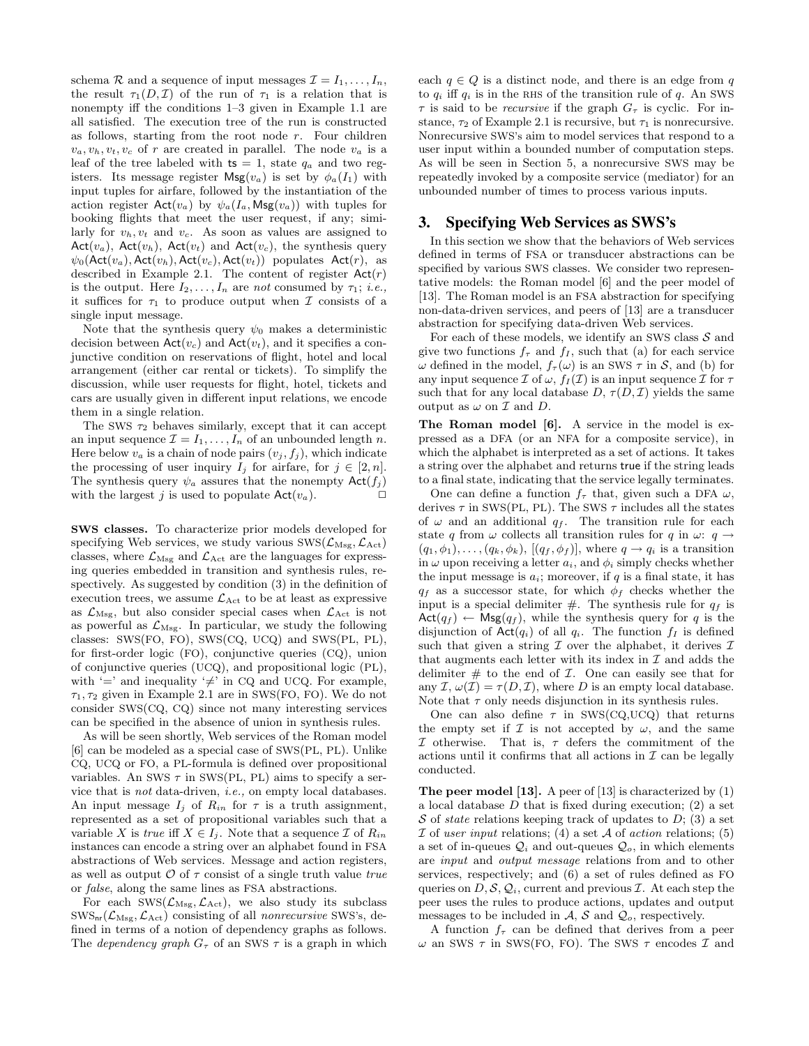schema  $\mathcal R$  and a sequence of input messages  $\mathcal I = I_1, \ldots, I_n$ , the result  $\tau_1(D, \mathcal{I})$  of the run of  $\tau_1$  is a relation that is nonempty iff the conditions 1–3 given in Example 1.1 are all satisfied. The execution tree of the run is constructed as follows, starting from the root node  $r$ . Four children  $v_a, v_b, v_t, v_c$  of r are created in parallel. The node  $v_a$  is a leaf of the tree labeled with  $ts = 1$ , state  $q_a$  and two registers. Its message register  $\mathsf{Msg}(v_a)$  is set by  $\phi_a(I_1)$  with input tuples for airfare, followed by the instantiation of the action register  $\mathsf{Act}(v_a)$  by  $\psi_a(I_a, \mathsf{Msg}(v_a))$  with tuples for booking flights that meet the user request, if any; similarly for  $v_h, v_t$  and  $v_c$ . As soon as values are assigned to Act( $v_a$ ), Act( $v_h$ ), Act( $v_t$ ) and Act( $v_c$ ), the synthesis query  $\psi_0(\mathsf{Act}(v_a),\mathsf{Act}(v_h),\mathsf{Act}(v_c),\mathsf{Act}(v_t))$  populates  $\mathsf{Act}(r)$ , as described in Example 2.1. The content of register  $Act(r)$ is the output. Here  $I_2, \ldots, I_n$  are not consumed by  $\tau_1$ ; *i.e.*, it suffices for  $\tau_1$  to produce output when  $\mathcal I$  consists of a single input message.

Note that the synthesis query  $\psi_0$  makes a deterministic decision between  $\text{Act}(v_c)$  and  $\text{Act}(v_t)$ , and it specifies a conjunctive condition on reservations of flight, hotel and local arrangement (either car rental or tickets). To simplify the discussion, while user requests for flight, hotel, tickets and cars are usually given in different input relations, we encode them in a single relation.

The SWS  $\tau_2$  behaves similarly, except that it can accept an input sequence  $\mathcal{I} = I_1, \ldots, I_n$  of an unbounded length n. Here below  $v_a$  is a chain of node pairs  $(v_j, f_j)$ , which indicate the processing of user inquiry  $I_j$  for airfare, for  $j \in [2, n]$ . The synthesis query  $\psi_a$  assures that the nonempty  $\mathsf{Act}(f_i)$ with the largest j is used to populate  $Act(v_a)$ .

SWS classes. To characterize prior models developed for specifying Web services, we study various  $\text{SWS}(\mathcal{L}_{\text{Msg}}, \mathcal{L}_{\text{Act}})$ classes, where  $\mathcal{L}_{\text{Msg}}$  and  $\mathcal{L}_{\text{Act}}$  are the languages for expressing queries embedded in transition and synthesis rules, respectively. As suggested by condition (3) in the definition of execution trees, we assume  $\mathcal{L}_{\text{Act}}$  to be at least as expressive as  $\mathcal{L}_{\text{Msg}}$ , but also consider special cases when  $\mathcal{L}_{\text{Act}}$  is not as powerful as  $\mathcal{L}_{\text{Msg}}$ . In particular, we study the following classes: SWS(FO, FO), SWS(CQ, UCQ) and SWS(PL, PL), for first-order logic (FO), conjunctive queries (CQ), union of conjunctive queries (UCQ), and propositional logic (PL), with '=' and inequality ' $\neq$ ' in CQ and UCQ. For example,  $\tau_1, \tau_2$  given in Example 2.1 are in SWS(FO, FO). We do not consider SWS(CQ, CQ) since not many interesting services can be specified in the absence of union in synthesis rules.

As will be seen shortly, Web services of the Roman model [6] can be modeled as a special case of SWS(PL, PL). Unlike CQ, UCQ or FO, a PL-formula is defined over propositional variables. An SWS  $\tau$  in SWS(PL, PL) aims to specify a service that is not data-driven, i.e., on empty local databases. An input message  $I_i$  of  $R_{in}$  for  $\tau$  is a truth assignment, represented as a set of propositional variables such that a variable X is true iff  $X \in I_i$ . Note that a sequence  $\mathcal I$  of  $R_{in}$ instances can encode a string over an alphabet found in FSA abstractions of Web services. Message and action registers, as well as output  $\mathcal O$  of  $\tau$  consist of a single truth value true or false, along the same lines as FSA abstractions.

For each  $\text{SWS}(\mathcal{L}_{\text{Msg}}, \mathcal{L}_{\text{Act}})$ , we also study its subclass  $\text{SWS}_{\text{nr}}(\mathcal{L}_{\text{Msg}}, \mathcal{L}_{\text{Act}})$  consisting of all *nonrecursive* SWS's, defined in terms of a notion of dependency graphs as follows. The *dependency graph*  $G_{\tau}$  of an SWS  $\tau$  is a graph in which each  $q \in Q$  is a distinct node, and there is an edge from q to  $q_i$  iff  $q_i$  is in the RHS of the transition rule of q. An SWS  $\tau$  is said to be *recursive* if the graph  $G_{\tau}$  is cyclic. For instance,  $\tau_2$  of Example 2.1 is recursive, but  $\tau_1$  is nonrecursive. Nonrecursive SWS's aim to model services that respond to a user input within a bounded number of computation steps. As will be seen in Section 5, a nonrecursive SWS may be repeatedly invoked by a composite service (mediator) for an unbounded number of times to process various inputs.

#### **3. Specifying Web Services as SWS's**

In this section we show that the behaviors of Web services defined in terms of FSA or transducer abstractions can be specified by various SWS classes. We consider two representative models: the Roman model [6] and the peer model of [13]. The Roman model is an FSA abstraction for specifying non-data-driven services, and peers of [13] are a transducer abstraction for specifying data-driven Web services.

For each of these models, we identify an SWS class  $S$  and give two functions  $f_{\tau}$  and  $f_{I}$ , such that (a) for each service  $ω$  defined in the model,  $f_\tau(ω)$  is an SWS  $\tau$  in  $\mathcal{S}$ , and (b) for any input sequence  $\mathcal I$  of  $\omega$ ,  $f_I(\mathcal I)$  is an input sequence  $\mathcal I$  for  $\tau$ such that for any local database  $D, \tau(D, \mathcal{I})$  yields the same output as  $\omega$  on  $\mathcal I$  and  $D$ .

The Roman model [6]. A service in the model is expressed as a DFA (or an NFA for a composite service), in which the alphabet is interpreted as a set of actions. It takes a string over the alphabet and returns true if the string leads to a final state, indicating that the service legally terminates.

One can define a function  $f_{\tau}$  that, given such a DFA  $\omega$ , derives  $\tau$  in SWS(PL, PL). The SWS  $\tau$  includes all the states of  $\omega$  and an additional  $q_f$ . The transition rule for each state q from  $\omega$  collects all transition rules for q in  $\omega$ :  $q \rightarrow$  $(q_1, \phi_1), \ldots, (q_k, \phi_k), [ (q_f, \phi_f)],$  where  $q \to q_i$  is a transition in  $\omega$  upon receiving a letter  $a_i$ , and  $\phi_i$  simply checks whether the input message is  $a_i$ ; moreover, if q is a final state, it has  $q_f$  as a successor state, for which  $\phi_f$  checks whether the input is a special delimiter  $#$ . The synthesis rule for  $q_f$  is  $Act(q_f) \leftarrow \mathsf{Msg}(q_f)$ , while the synthesis query for q is the disjunction of  $\text{Act}(q_i)$  of all  $q_i$ . The function  $f_I$  is defined such that given a string  $\mathcal I$  over the alphabet, it derives  $\mathcal I$ that augments each letter with its index in  $\mathcal I$  and adds the delimiter  $\#$  to the end of  $\mathcal I$ . One can easily see that for any  $\mathcal{I}, \omega(\mathcal{I}) = \tau(D, \mathcal{I})$ , where D is an empty local database. Note that  $\tau$  only needs disjunction in its synthesis rules.

One can also define  $\tau$  in SWS(CQ,UCQ) that returns the empty set if  $\mathcal I$  is not accepted by  $\omega$ , and the same I otherwise. That is,  $\tau$  defers the commitment of the actions until it confirms that all actions in  $\mathcal I$  can be legally conducted.

The peer model [13]. A peer of [13] is characterized by (1) a local database  $D$  that is fixed during execution; (2) a set S of *state* relations keeping track of updates to  $D$ ; (3) a set I of user input relations; (4) a set  $A$  of action relations; (5) a set of in-queues  $\mathcal{Q}_i$  and out-queues  $\mathcal{Q}_o$ , in which elements are input and output message relations from and to other services, respectively; and (6) a set of rules defined as FO queries on  $D, \mathcal{S}, \mathcal{Q}_i$ , current and previous  $\mathcal{I}$ . At each step the peer uses the rules to produce actions, updates and output messages to be included in  $\mathcal{A}, \mathcal{S}$  and  $\mathcal{Q}_o$ , respectively.

A function  $f_{\tau}$  can be defined that derives from a peer  $ω$  an SWS  $τ$  in SWS(FO, FO). The SWS  $τ$  encodes  $I$  and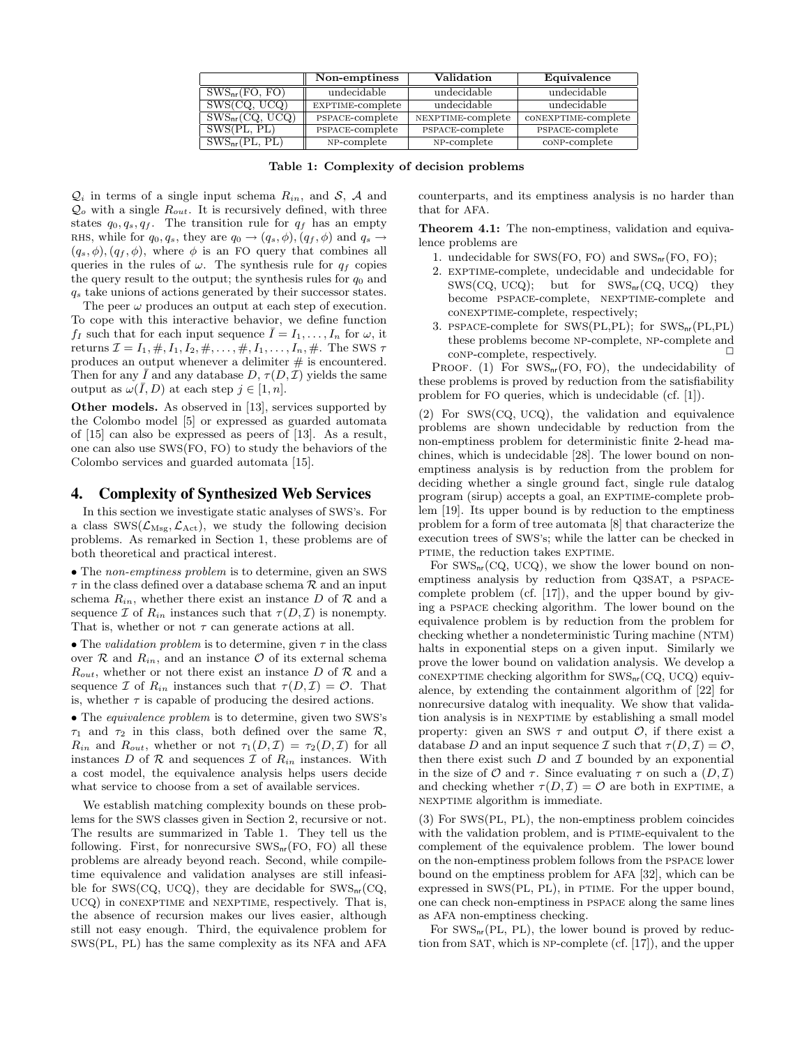|                               | Non-emptiness    | Validation        | Equivalence         |
|-------------------------------|------------------|-------------------|---------------------|
| $SWS_{nr}(FO, \overline{FO})$ | undecidable      | undecidable       | undecidable         |
| SWS(CQ, UCQ)                  | EXPTIME-complete | undecidable       | undecidable         |
| $SWS_{nr}(CQ, UCQ)$           | PSPACE-complete  | NEXPTIME-complete | CONEXPTIME-complete |
| SWS(PL, PL)                   | PSPACE-complete  | PSPACE-complete   | PSPACE-complete     |
| $SWS_{nr}(PL, PL)$            | NP-complete      | NP-complete       | con-complete        |

Table 1: Complexity of decision problems

 $\mathcal{Q}_i$  in terms of a single input schema  $R_{in}$ , and  $\mathcal{S}, \mathcal{A}$  and  $Q_o$  with a single  $R_{out}$ . It is recursively defined, with three states  $q_0, q_s, q_f$ . The transition rule for  $q_f$  has an empty RHS, while for  $q_0, q_s$ , they are  $q_0 \rightarrow (q_s, \phi), (q_f, \phi)$  and  $q_s \rightarrow$  $(q_s, \phi), (q_f, \phi)$ , where  $\phi$  is an FO query that combines all queries in the rules of  $\omega$ . The synthesis rule for  $q_f$  copies the query result to the output; the synthesis rules for  $q_0$  and  $q_s$  take unions of actions generated by their successor states.

The peer  $\omega$  produces an output at each step of execution. To cope with this interactive behavior, we define function  $f_I$  such that for each input sequence  $\overline{I} = I_1, \ldots, I_n$  for  $\omega$ , it returns  $\mathcal{I} = I_1, \#, I_1, I_2, \#, \ldots, \#, I_1, \ldots, I_n, \#$ . The SWS  $\tau$ produces an output whenever a delimiter  $#$  is encountered. Then for any  $\overline{I}$  and any database  $D, \tau(D, \mathcal{I})$  yields the same output as  $\omega(\bar{I}, D)$  at each step  $j \in [1, n]$ .

Other models. As observed in [13], services supported by the Colombo model [5] or expressed as guarded automata of [15] can also be expressed as peers of [13]. As a result, one can also use SWS(FO, FO) to study the behaviors of the Colombo services and guarded automata [15].

#### **4. Complexity of Synthesized Web Services**

In this section we investigate static analyses of SWS's. For a class  $\text{SWS}(\mathcal{L}_{\text{Msg}}, \mathcal{L}_{\text{Act}})$ , we study the following decision problems. As remarked in Section 1, these problems are of both theoretical and practical interest.

• The non-emptiness problem is to determine, given an SWS  $\tau$  in the class defined over a database schema  $\mathcal R$  and an input schema  $R_{in}$ , whether there exist an instance D of R and a sequence  $\mathcal I$  of  $R_{in}$  instances such that  $\tau(D,\mathcal I)$  is nonempty. That is, whether or not  $\tau$  can generate actions at all.

• The validation problem is to determine, given  $\tau$  in the class over  $\mathcal R$  and  $R_{in}$ , and an instance  $\mathcal O$  of its external schema  $R_{out}$ , whether or not there exist an instance D of R and a sequence I of  $R_{in}$  instances such that  $\tau(D,\mathcal{I})=\mathcal{O}$ . That is, whether  $\tau$  is capable of producing the desired actions.

• The equivalence problem is to determine, given two SWS's  $\tau_1$  and  $\tau_2$  in this class, both defined over the same  $\mathcal{R}$ ,  $R_{in}$  and  $R_{out}$ , whether or not  $\tau_1(D, \mathcal{I}) = \tau_2(D, \mathcal{I})$  for all instances D of R and sequences T of  $R_{in}$  instances. With a cost model, the equivalence analysis helps users decide what service to choose from a set of available services.

We establish matching complexity bounds on these problems for the SWS classes given in Section 2, recursive or not. The results are summarized in Table 1. They tell us the following. First, for nonrecursive  $\text{SWS}_{\text{nr}}(\text{FO}, \text{FO})$  all these problems are already beyond reach. Second, while compiletime equivalence and validation analyses are still infeasible for SWS(CQ, UCQ), they are decidable for  $\text{SWS}_{nr}(\text{CQ},$ UCQ) in CONEXPTIME and NEXPTIME, respectively. That is, the absence of recursion makes our lives easier, although still not easy enough. Third, the equivalence problem for SWS(PL, PL) has the same complexity as its NFA and AFA counterparts, and its emptiness analysis is no harder than that for AFA.

Theorem 4.1: The non-emptiness, validation and equivalence problems are

- 1. undecidable for SWS(FO, FO) and SWSnr(FO, FO);
- 2. exptime-complete, undecidable and undecidable for  $SWS(CQ, UCQ);$  but for  $SWS_{nr}(CQ,UCQ)$  they become pspace-complete, nexptime-complete and conexptime-complete, respectively;
- 3. pspace-complete for SWS(PL,PL); for SWSnr(PL,PL) these problems become NP-complete, NP-complete and conplete, respectively.

PROOF.  $(1)$  For SWS<sub>nr</sub>(FO, FO), the undecidability of these problems is proved by reduction from the satisfiability problem for FO queries, which is undecidable (cf. [1]).

(2) For SWS(CQ, UCQ), the validation and equivalence problems are shown undecidable by reduction from the non-emptiness problem for deterministic finite 2-head machines, which is undecidable [28]. The lower bound on nonemptiness analysis is by reduction from the problem for deciding whether a single ground fact, single rule datalog program (sirup) accepts a goal, an EXPTIME-complete problem [19]. Its upper bound is by reduction to the emptiness problem for a form of tree automata [8] that characterize the execution trees of SWS's; while the latter can be checked in ptime, the reduction takes EXPTIME.

For  $\text{SWS}_{\text{nr}}(\text{CQ}, \text{UCQ})$ , we show the lower bound on nonemptiness analysis by reduction from Q3SAT, a pspacecomplete problem (cf. [17]), and the upper bound by giving a pspace checking algorithm. The lower bound on the equivalence problem is by reduction from the problem for checking whether a nondeterministic Turing machine (NTM) halts in exponential steps on a given input. Similarly we prove the lower bound on validation analysis. We develop a conexptime checking algorithm for  $\text{SWS}_{nr}(\text{CQ}, \text{UCQ})$  equivalence, by extending the containment algorithm of [22] for nonrecursive datalog with inequality. We show that validation analysis is in NEXPTIME by establishing a small model property: given an SWS  $\tau$  and output  $\mathcal{O}$ , if there exist a database D and an input sequence T such that  $\tau(D,\mathcal{I})=\mathcal{O}$ . then there exist such  $D$  and  $\mathcal I$  bounded by an exponential in the size of  $\mathcal O$  and  $\tau$ . Since evaluating  $\tau$  on such a  $(D,\mathcal I)$ and checking whether  $\tau(D,\mathcal{I})=\mathcal{O}$  are both in EXPTIME, a nexptime algorithm is immediate.

(3) For SWS(PL, PL), the non-emptiness problem coincides with the validation problem, and is PTIME-equivalent to the complement of the equivalence problem. The lower bound on the non-emptiness problem follows from the pspace lower bound on the emptiness problem for AFA [32], which can be expressed in  $SWS(PL, PL)$ , in PTIME. For the upper bound, one can check non-emptiness in pspace along the same lines as AFA non-emptiness checking.

For  $SWS_{nr}(PL, PL)$ , the lower bound is proved by reduction from SAT, which is NP-complete (cf. [17]), and the upper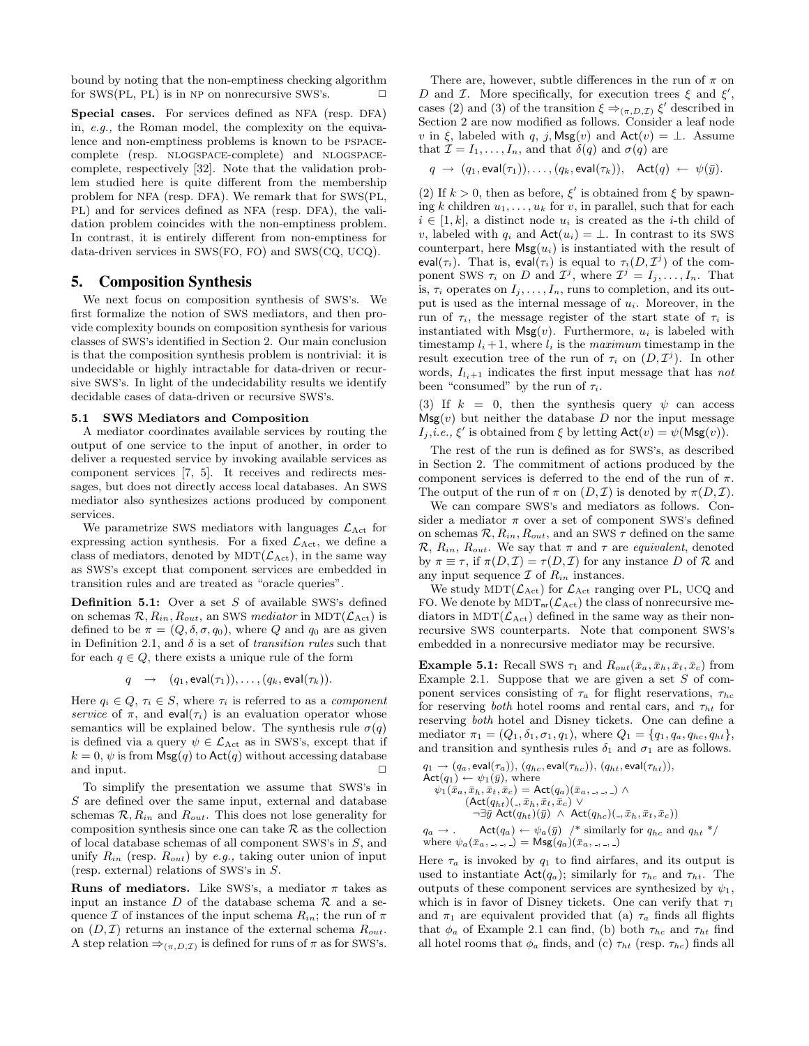bound by noting that the non-emptiness checking algorithm for SWS(PL, PL) is in NP on nonrecursive SWS's.  $\square$ 

Special cases. For services defined as NFA (resp. DFA) in, e.g., the Roman model, the complexity on the equivalence and non-emptiness problems is known to be pspacecomplete (resp. nlogspace-complete) and nlogspacecomplete, respectively [32]. Note that the validation problem studied here is quite different from the membership problem for NFA (resp. DFA). We remark that for SWS(PL, PL) and for services defined as NFA (resp. DFA), the validation problem coincides with the non-emptiness problem. In contrast, it is entirely different from non-emptiness for data-driven services in SWS(FO, FO) and SWS(CQ, UCQ).

## **5. Composition Synthesis**

We next focus on composition synthesis of SWS's. We first formalize the notion of SWS mediators, and then provide complexity bounds on composition synthesis for various classes of SWS's identified in Section 2. Our main conclusion is that the composition synthesis problem is nontrivial: it is undecidable or highly intractable for data-driven or recursive SWS's. In light of the undecidability results we identify decidable cases of data-driven or recursive SWS's.

#### 5.1 SWS Mediators and Composition

A mediator coordinates available services by routing the output of one service to the input of another, in order to deliver a requested service by invoking available services as component services [7, 5]. It receives and redirects messages, but does not directly access local databases. An SWS mediator also synthesizes actions produced by component services.

We parametrize SWS mediators with languages  $\mathcal{L}_{\text{Act}}$  for expressing action synthesis. For a fixed  $\mathcal{L}_{\text{Act}}$ , we define a class of mediators, denoted by  $MDT(\mathcal{L}_{Act})$ , in the same way as SWS's except that component services are embedded in transition rules and are treated as "oracle queries".

**Definition 5.1:** Over a set  $S$  of available SWS's defined on schemas  $\mathcal{R}, R_{in}, R_{out}$ , an SWS mediator in MDT( $\mathcal{L}_{\text{Act}}$ ) is defined to be  $\pi = (Q, \delta, \sigma, q_0)$ , where Q and  $q_0$  are as given in Definition 2.1, and  $\delta$  is a set of *transition rules* such that for each  $q \in Q$ , there exists a unique rule of the form

$$
q \rightarrow (q_1, \text{eval}(\tau_1)), \dots, (q_k, \text{eval}(\tau_k)).
$$

Here  $q_i \in Q$ ,  $\tau_i \in S$ , where  $\tau_i$  is referred to as a *component* service of  $\pi$ , and eval $(\tau_i)$  is an evaluation operator whose semantics will be explained below. The synthesis rule  $\sigma(q)$ is defined via a query  $\psi \in \mathcal{L}_{\text{Act}}$  as in SWS's, except that if  $k = 0$ ,  $\psi$  is from  $\mathsf{Msg}(q)$  to  $\mathsf{Act}(q)$  without accessing database and input.

To simplify the presentation we assume that SWS's in S are defined over the same input, external and database schemas  $\mathcal{R}, R_{in}$  and  $R_{out}$ . This does not lose generality for composition synthesis since one can take  $R$  as the collection of local database schemas of all component SWS's in S, and unify  $R_{in}$  (resp.  $R_{out}$ ) by e.g., taking outer union of input (resp. external) relations of SWS's in S.

**Runs of mediators.** Like SWS's, a mediator  $\pi$  takes as input an instance  $D$  of the database schema  $\mathcal R$  and a sequence  $\mathcal I$  of instances of the input schema  $R_{in}$ ; the run of  $\pi$ on  $(D, \mathcal{I})$  returns an instance of the external schema  $R_{out}$ . A step relation  $\Rightarrow_{(\pi,D,\mathcal{I})}$  is defined for runs of  $\pi$  as for SWS's.

There are, however, subtle differences in the run of  $\pi$  on D and *I*. More specifically, for execution trees  $\xi$  and  $\xi'$ , cases (2) and (3) of the transition  $\xi \Rightarrow_{(\pi,D,\mathcal{I})} \xi'$  described in Section 2 are now modified as follows. Consider a leaf node v in  $\xi$ , labeled with q, j, Msg(v) and Act(v) =  $\bot$ . Assume that  $\mathcal{I} = I_1, \ldots, I_n$ , and that  $\delta(q)$  and  $\sigma(q)$  are

$$
q \rightarrow (q_1, \text{eval}(\tau_1)), \ldots, (q_k, \text{eval}(\tau_k)), \text{ Act}(q) \leftarrow \psi(\bar{y}).
$$

(2) If  $k > 0$ , then as before,  $\xi'$  is obtained from  $\xi$  by spawning k children  $u_1, \ldots, u_k$  for v, in parallel, such that for each  $i \in [1, k]$ , a distinct node  $u_i$  is created as the *i*-th child of v, labeled with  $q_i$  and  $\text{Act}(u_i) = \perp$ . In contrast to its SWS counterpart, here  $\mathsf{Msg}(u_i)$  is instantiated with the result of eval( $\tau_i$ ). That is, eval( $\tau_i$ ) is equal to  $\tau_i(D, \mathcal{I}^j)$  of the component SWS  $\tau_i$  on D and  $\mathcal{I}^j$ , where  $\mathcal{I}^j = I_j, \ldots, I_n$ . That is,  $\tau_i$  operates on  $I_j, \ldots, I_n$ , runs to completion, and its output is used as the internal message of  $u_i$ . Moreover, in the run of  $\tau_i$ , the message register of the start state of  $\tau_i$  is instantiated with  $Msg(v)$ . Furthermore,  $u_i$  is labeled with timestamp  $l_i + 1$ , where  $l_i$  is the maximum timestamp in the result execution tree of the run of  $\tau_i$  on  $(D, \mathcal{I}^j)$ . In other words,  $I_{l,i+1}$  indicates the first input message that has not been "consumed" by the run of  $\tau_i$ .

(3) If  $k = 0$ , then the synthesis query  $\psi$  can access  $\mathsf{Msg}(v)$  but neither the database D nor the input message  $I_j, i.e., \xi'$  is obtained from  $\xi$  by letting  $\mathsf{Act}(v) = \psi(\mathsf{Msg}(v)).$ 

The rest of the run is defined as for SWS's, as described in Section 2. The commitment of actions produced by the component services is deferred to the end of the run of  $\pi$ . The output of the run of  $\pi$  on  $(D,\mathcal{I})$  is denoted by  $\pi(D,\mathcal{I})$ .

We can compare SWS's and mediators as follows. Consider a mediator  $\pi$  over a set of component SWS's defined on schemas  $\mathcal{R}, R_{in}, R_{out}$ , and an SWS  $\tau$  defined on the same  $\mathcal{R}, R_{in}, R_{out}$ . We say that  $\pi$  and  $\tau$  are *equivalent*, denoted by  $\pi \equiv \tau$ , if  $\pi(D, \mathcal{I}) = \tau(D, \mathcal{I})$  for any instance D of R and any input sequence  $\mathcal I$  of  $R_{in}$  instances.

We study  $MDT(\mathcal{L}_{Act})$  for  $\mathcal{L}_{Act}$  ranging over PL, UCQ and FO. We denote by  $MDT_{nr}(\mathcal{L}_{Act})$  the class of nonrecursive mediators in  $MDT(\mathcal{L}_{Act})$  defined in the same way as their nonrecursive SWS counterparts. Note that component SWS's embedded in a nonrecursive mediator may be recursive.

Example 5.1: Recall SWS  $\tau_1$  and  $R_{out}(\bar{x}_a, \bar{x}_b, \bar{x}_t, \bar{x}_c)$  from Example 2.1. Suppose that we are given a set  $S$  of component services consisting of  $\tau_a$  for flight reservations,  $\tau_{hc}$ for reserving both hotel rooms and rental cars, and  $\tau_{ht}$  for reserving both hotel and Disney tickets. One can define a mediator  $\pi_1 = (Q_1, \delta_1, \sigma_1, q_1)$ , where  $Q_1 = \{q_1, q_a, q_{hc}, q_{ht}\},$ and transition and synthesis rules  $\delta_1$  and  $\sigma_1$  are as follows.

$$
q_1 \rightarrow (q_a, \text{eval}(\tau_a)), (q_{hc}, \text{eval}(\tau_{hc})), (q_{ht}, \text{eval}(\tau_{ht})),
$$
  
\n
$$
\text{Act}(q_1) \leftarrow \psi_1(\bar{y}), \text{ where}
$$
  
\n
$$
\psi_1(\bar{x}_a, \bar{x}_h, \bar{x}_t, \bar{x}_c) = \text{Act}(q_a)(\bar{x}_a, \ldots, \ldots) \land
$$
  
\n
$$
(\text{Act}(q_{ht})(\ldots, \bar{x}_h, \bar{x}_t, \bar{x}_c) \lor
$$
  
\n
$$
\neg \exists \bar{y} \text{ Act}(q_{ht})(\bar{y}) \land \text{Act}(q_{hc})(\ldots, \bar{x}_h, \bar{x}_t, \bar{x}_c))
$$
  
\n
$$
q_a \rightarrow \ldots \text{ Act}(q_a) \leftarrow \psi_a(\bar{y}) \quad \text{/* similarly for } q_{hc} \text{ and } q_{ht} \not\text{*/}
$$
  
\nwhere  $\psi_a(\bar{x}_a, \ldots, \ldots) = \text{Msg}(q_a)(\bar{x}_a, \ldots, \ldots)$ 

Here  $\tau_a$  is invoked by  $q_1$  to find airfares, and its output is used to instantiate  $Act(q_a)$ ; similarly for  $\tau_{hc}$  and  $\tau_{ht}$ . The outputs of these component services are synthesized by  $\psi_1$ , which is in favor of Disney tickets. One can verify that  $\tau_1$ and  $\pi_1$  are equivalent provided that (a)  $\tau_a$  finds all flights that  $\phi_a$  of Example 2.1 can find, (b) both  $\tau_{hc}$  and  $\tau_{ht}$  find all hotel rooms that  $\phi_a$  finds, and (c)  $\tau_{ht}$  (resp.  $\tau_{hc}$ ) finds all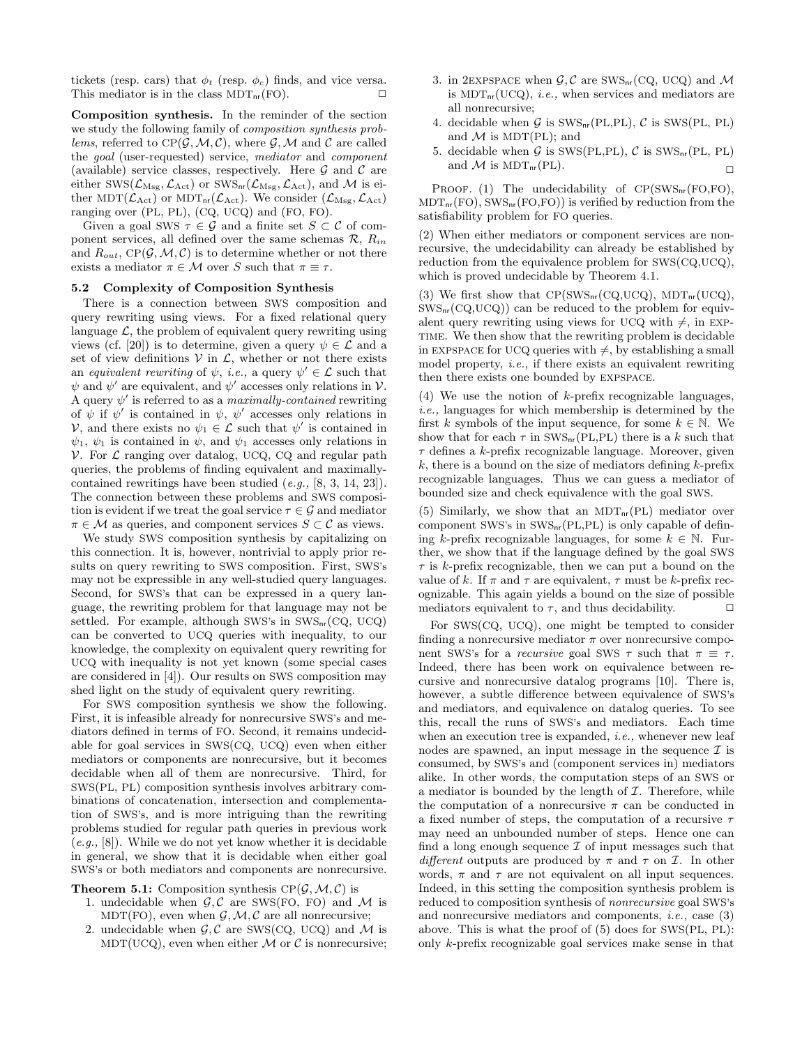tickets (resp. cars) that  $\phi_t$  (resp.  $\phi_c$ ) finds, and vice versa. This mediator is in the class  $MDT_{nr}(FO)$ .

Composition synthesis. In the reminder of the section we study the following family of composition synthesis problems, referred to CP( $\mathcal{G}, \mathcal{M}, \mathcal{C}$ ), where  $\mathcal{G}, \mathcal{M}$  and  $\mathcal{C}$  are called the goal (user-requested) service, mediator and component (available) service classes, respectively. Here  $\mathcal G$  and  $\mathcal C$  are either SWS( $\mathcal{L}_{\text{Msg}}, \mathcal{L}_{\text{Act}}$ ) or SWS<sub>nr</sub>( $\mathcal{L}_{\text{Msg}}, \mathcal{L}_{\text{Act}}$ ), and M is either MDT( $\mathcal{L}_{\text{Act}}$ ) or MDT<sub>pr</sub>( $\mathcal{L}_{\text{Act}}$ ). We consider ( $\mathcal{L}_{\text{Mse}}$ ,  $\mathcal{L}_{\text{Act}}$ ) ranging over (PL, PL), (CQ, UCQ) and (FO, FO).

Given a goal SWS  $\tau \in \mathcal{G}$  and a finite set  $S \subset \mathcal{C}$  of component services, all defined over the same schemas  $\mathcal{R}, R_{in}$ and  $R_{out}$ , CP( $\mathcal{G}, \mathcal{M}, \mathcal{C}$ ) is to determine whether or not there exists a mediator  $\pi \in \mathcal{M}$  over S such that  $\pi \equiv \tau$ .

#### 5.2 Complexity of Composition Synthesis

There is a connection between SWS composition and query rewriting using views. For a fixed relational query language  $\mathcal{L}$ , the problem of equivalent query rewriting using views (cf. [20]) is to determine, given a query  $\psi \in \mathcal{L}$  and a set of view definitions  $V$  in  $\mathcal{L}$ , whether or not there exists an equivalent rewriting of  $\psi$ , i.e., a query  $\psi' \in \mathcal{L}$  such that  $\psi$  and  $\psi'$  are equivalent, and  $\psi'$  accesses only relations in  $\mathcal{V}$ . A query  $\psi'$  is referred to as a *maximally-contained* rewriting of  $\psi$  if  $\psi'$  is contained in  $\psi$ ,  $\psi'$  accesses only relations in  $\mathcal{V}$ , and there exists no  $\psi_1 \in \mathcal{L}$  such that  $\psi'$  is contained in  $\psi_1$ ,  $\psi_1$  is contained in  $\psi$ , and  $\psi_1$  accesses only relations in  $V.$  For  $\mathcal L$  ranging over datalog, UCQ, CQ and regular path queries, the problems of finding equivalent and maximallycontained rewritings have been studied  $(e.g., [8, 3, 14, 23])$ . The connection between these problems and SWS composition is evident if we treat the goal service  $\tau \in \mathcal{G}$  and mediator  $\pi \in \mathcal{M}$  as queries, and component services  $S \subset \mathcal{C}$  as views.

We study SWS composition synthesis by capitalizing on this connection. It is, however, nontrivial to apply prior results on query rewriting to SWS composition. First, SWS's may not be expressible in any well-studied query languages. Second, for SWS's that can be expressed in a query language, the rewriting problem for that language may not be settled. For example, although SWS's in  $\text{SWS}_{\text{nr}}(\text{CQ}, \text{UCQ})$ can be converted to UCQ queries with inequality, to our knowledge, the complexity on equivalent query rewriting for UCQ with inequality is not yet known (some special cases are considered in [4]). Our results on SWS composition may shed light on the study of equivalent query rewriting.

For SWS composition synthesis we show the following. First, it is infeasible already for nonrecursive SWS's and mediators defined in terms of FO. Second, it remains undecidable for goal services in SWS(CQ, UCQ) even when either mediators or components are nonrecursive, but it becomes decidable when all of them are nonrecursive. Third, for SWS(PL, PL) composition synthesis involves arbitrary combinations of concatenation, intersection and complementation of SWS's, and is more intriguing than the rewriting problems studied for regular path queries in previous work  $(e.g., [8])$ . While we do not yet know whether it is decidable in general, we show that it is decidable when either goal SWS's or both mediators and components are nonrecursive.

**Theorem 5.1:** Composition synthesis  $CP(G, \mathcal{M}, \mathcal{C})$  is

- 1. undecidable when  $\mathcal{G}, \mathcal{C}$  are SWS(FO, FO) and M is MDT(FO), even when  $\mathcal{G}, \mathcal{M}, \mathcal{C}$  are all nonrecursive;
- 2. undecidable when  $\mathcal{G}, \mathcal{C}$  are SWS(CQ, UCQ) and  $\mathcal{M}$  is MDT(UCQ), even when either  $M$  or  $C$  is nonrecursive;
- 3. in 2EXPSPACE when  $\mathcal{G}, \mathcal{C}$  are SWS<sub>nr</sub>(CQ, UCQ) and M is  $MDT_{nr}(UCQ)$ , *i.e.*, when services and mediators are all nonrecursive;
- 4. decidable when  $G$  is SWS<sub>nr</sub>(PL,PL),  $C$  is SWS(PL, PL) and  $M$  is MDT(PL); and
- 5. decidable when  $G$  is SWS(PL,PL),  $C$  is SWS<sub>nr</sub>(PL, PL) and  $\mathcal M$  is MDT<sub>nr</sub>(PL).

PROOF. (1) The undecidability of  $CP(SWS_{nr}(FO, FO))$ ,  $MDT_{nr}(FO)$ ,  $SWS_{nr}(FO, FO)$ ) is verified by reduction from the satisfiability problem for FO queries.

(2) When either mediators or component services are nonrecursive, the undecidability can already be established by reduction from the equivalence problem for SWS(CQ,UCQ), which is proved undecidable by Theorem 4.1.

(3) We first show that  $CP(SWS_{nr}(CQ,UCQ), MDT_{nr}(UCQ),$  $SWS_{nr}(CQ,UCQ)$  can be reduced to the problem for equivalent query rewriting using views for UCQ with  $\neq$ , in EXPtime. We then show that the rewriting problem is decidable in EXPSPACE for UCQ queries with  $\neq$ , by establishing a small model property, i.e., if there exists an equivalent rewriting then there exists one bounded by expspace.

(4) We use the notion of  $k$ -prefix recognizable languages, i.e., languages for which membership is determined by the first k symbols of the input sequence, for some  $k \in \mathbb{N}$ . We show that for each  $\tau$  in SWS<sub>nr</sub>(PL,PL) there is a k such that  $\tau$  defines a  $k\text{-}\mathrm{prefix}$  recognizable language. Moreover, given  $k$ , there is a bound on the size of mediators defining  $k$ -prefix recognizable languages. Thus we can guess a mediator of bounded size and check equivalence with the goal SWS.

(5) Similarly, we show that an  $MDT_{nr}(PL)$  mediator over component SWS's in  $\text{SWS}_{\text{nr}}(\text{PL},\text{PL})$  is only capable of defining k-prefix recognizable languages, for some  $k \in \mathbb{N}$ . Further, we show that if the language defined by the goal SWS  $\tau$  is k-prefix recognizable, then we can put a bound on the value of k. If  $\pi$  and  $\tau$  are equivalent,  $\tau$  must be k-prefix recognizable. This again yields a bound on the size of possible mediators equivalent to  $\tau$ , and thus decidability.  $\Box$ 

For SWS(CQ, UCQ), one might be tempted to consider finding a nonrecursive mediator  $\pi$  over nonrecursive component SWS's for a *recursive* goal SWS  $\tau$  such that  $\pi \equiv \tau$ . Indeed, there has been work on equivalence between recursive and nonrecursive datalog programs [10]. There is, however, a subtle difference between equivalence of SWS's and mediators, and equivalence on datalog queries. To see this, recall the runs of SWS's and mediators. Each time when an execution tree is expanded, *i.e.*, whenever new leaf nodes are spawned, an input message in the sequence  $\mathcal I$  is consumed, by SWS's and (component services in) mediators alike. In other words, the computation steps of an SWS or a mediator is bounded by the length of  $I$ . Therefore, while the computation of a nonrecursive  $\pi$  can be conducted in a fixed number of steps, the computation of a recursive  $\tau$ may need an unbounded number of steps. Hence one can find a long enough sequence  $\mathcal I$  of input messages such that different outputs are produced by  $\pi$  and  $\tau$  on  $\mathcal{I}$ . In other words,  $\pi$  and  $\tau$  are not equivalent on all input sequences. Indeed, in this setting the composition synthesis problem is reduced to composition synthesis of nonrecursive goal SWS's and nonrecursive mediators and components, i.e., case (3) above. This is what the proof of (5) does for SWS(PL, PL): only k-prefix recognizable goal services make sense in that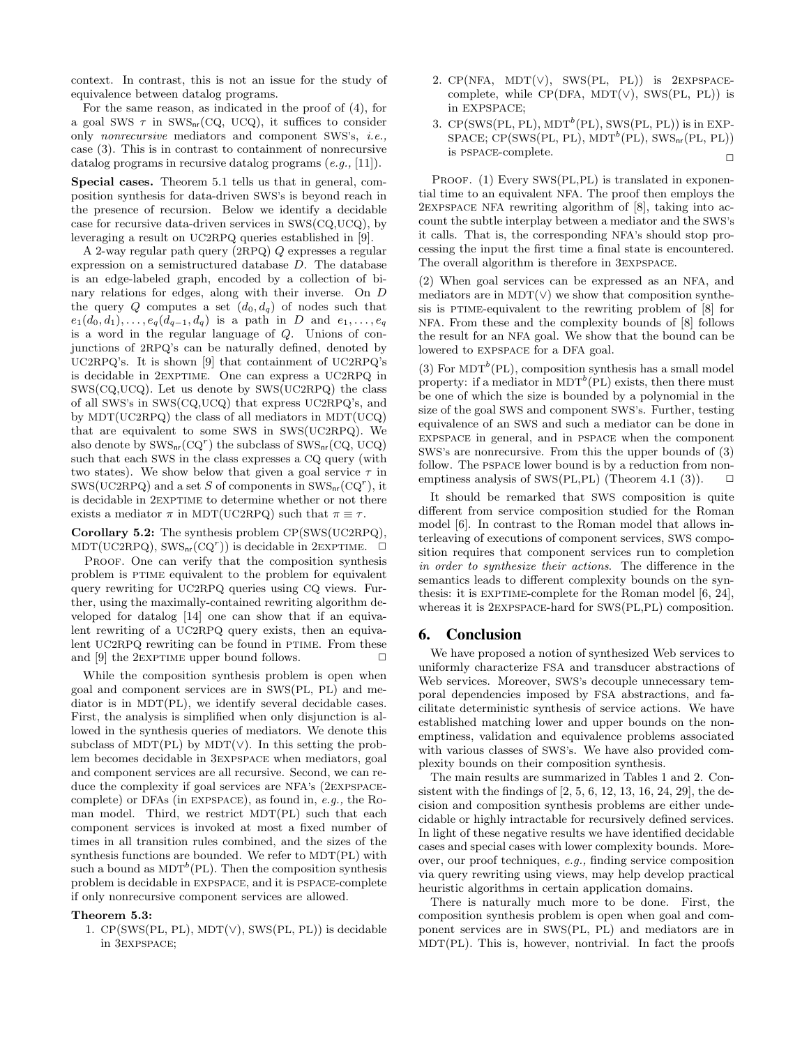context. In contrast, this is not an issue for the study of equivalence between datalog programs.

For the same reason, as indicated in the proof of (4), for a goal SWS  $\tau$  in SWS<sub>nr</sub>(CQ, UCQ), it suffices to consider only nonrecursive mediators and component SWS's, i.e., case (3). This is in contrast to containment of nonrecursive datalog programs in recursive datalog programs (e.g., [11]).

Special cases. Theorem 5.1 tells us that in general, composition synthesis for data-driven SWS's is beyond reach in the presence of recursion. Below we identify a decidable case for recursive data-driven services in SWS(CQ,UCQ), by leveraging a result on UC2RPQ queries established in [9].

A 2-way regular path query (2RPQ) Q expresses a regular expression on a semistructured database D. The database is an edge-labeled graph, encoded by a collection of binary relations for edges, along with their inverse. On D the query Q computes a set  $(d_0, d_q)$  of nodes such that  $e_1(d_0, d_1), \ldots, e_q(d_{q-1}, d_q)$  is a path in D and  $e_1, \ldots, e_q$ is a word in the regular language of Q. Unions of conjunctions of 2RPQ's can be naturally defined, denoted by UC2RPQ's. It is shown [9] that containment of UC2RPQ's is decidable in 2exptime. One can express a UC2RPQ in SWS(CQ,UCQ). Let us denote by SWS(UC2RPQ) the class of all SWS's in SWS(CQ,UCQ) that express UC2RPQ's, and by MDT(UC2RPQ) the class of all mediators in MDT(UCQ) that are equivalent to some SWS in SWS(UC2RPQ). We also denote by  $\text{SWS}_{\text{nr}}(\text{CQ}^r)$  the subclass of  $\text{SWS}_{\text{nr}}(\text{CQ}, \text{UCQ})$ such that each SWS in the class expresses a CQ query (with two states). We show below that given a goal service  $\tau$  in SWS(UC2RPQ) and a set S of components in  $\text{SWS}_{nr}(\text{CQ}^r)$ , it is decidable in 2EXPTIME to determine whether or not there exists a mediator  $\pi$  in MDT(UC2RPQ) such that  $\pi \equiv \tau$ .

Corollary 5.2: The synthesis problem CP(SWS(UC2RPQ),  $MDT(UC2RPQ), SWS_{nr}(CQ^{r}))$  is decidable in 2EXPTIME.  $\Box$ 

PROOF. One can verify that the composition synthesis problem is PTIME equivalent to the problem for equivalent query rewriting for UC2RPQ queries using CQ views. Further, using the maximally-contained rewriting algorithm developed for datalog [14] one can show that if an equivalent rewriting of a UC2RPQ query exists, then an equivalent UC2RPQ rewriting can be found in PTIME. From these and [9] the 2EXPTIME upper bound follows.  $\Box$ 

While the composition synthesis problem is open when goal and component services are in SWS(PL, PL) and mediator is in MDT(PL), we identify several decidable cases. First, the analysis is simplified when only disjunction is allowed in the synthesis queries of mediators. We denote this subclass of MDT(PL) by MDT( $\vee$ ). In this setting the problem becomes decidable in 3expspace when mediators, goal and component services are all recursive. Second, we can reduce the complexity if goal services are NFA's (2EXPSPACEcomplete) or DFAs (in expspace), as found in, e.g., the Roman model. Third, we restrict MDT(PL) such that each component services is invoked at most a fixed number of times in all transition rules combined, and the sizes of the synthesis functions are bounded. We refer to MDT(PL) with such a bound as  $MDT^b(PL)$ . Then the composition synthesis problem is decidable in expspace, and it is pspace-complete if only nonrecursive component services are allowed.

#### Theorem 5.3:

1. CP(SWS(PL, PL), MDT(∨), SWS(PL, PL)) is decidable in 3expspace;

- 2.  $CP(NFA, MDT(V), SWS(PL, PL))$  is 2EXPSPACEcomplete, while  $CP(DFA, MDT(\vee), SWS(PL, PL))$  is in EXPSPACE;
- 3.  $CP(SWS(PL, PL), MDT^b(PL), SWS(PL, PL))$  is in EXP- $SPACE$ ;  $CP(SWS(PL, PL), MDT^{b}(PL), SWS_{nr}(PL, PL))$ is PSPACE-complete.  $\hfill\Box$

PROOF. (1) Every SWS(PL,PL) is translated in exponential time to an equivalent NFA. The proof then employs the 2expspace NFA rewriting algorithm of [8], taking into account the subtle interplay between a mediator and the SWS's it calls. That is, the corresponding NFA's should stop processing the input the first time a final state is encountered. The overall algorithm is therefore in 3expspace.

(2) When goal services can be expressed as an NFA, and mediators are in MDT $(V)$  we show that composition synthesis is PTIME-equivalent to the rewriting problem of  $|8|$  for NFA. From these and the complexity bounds of [8] follows the result for an NFA goal. We show that the bound can be lowered to expspace for a DFA goal.

(3) For  $MDT^b(PL)$ , composition synthesis has a small model property: if a mediator in  $MDT^b(PL)$  exists, then there must be one of which the size is bounded by a polynomial in the size of the goal SWS and component SWS's. Further, testing equivalence of an SWS and such a mediator can be done in expspace in general, and in pspace when the component SWS's are nonrecursive. From this the upper bounds of (3) follow. The PSPACE lower bound is by a reduction from nonemptiness analysis of SWS(PL, PL) (Theorem 4.1 (3)).  $\Box$ 

It should be remarked that SWS composition is quite different from service composition studied for the Roman model [6]. In contrast to the Roman model that allows interleaving of executions of component services, SWS composition requires that component services run to completion in order to synthesize their actions. The difference in the semantics leads to different complexity bounds on the synthesis: it is EXPTIME-complete for the Roman model [6, 24], whereas it is 2EXPSPACE-hard for SWS(PL,PL) composition.

#### **6. Conclusion**

We have proposed a notion of synthesized Web services to uniformly characterize FSA and transducer abstractions of Web services. Moreover, SWS's decouple unnecessary temporal dependencies imposed by FSA abstractions, and facilitate deterministic synthesis of service actions. We have established matching lower and upper bounds on the nonemptiness, validation and equivalence problems associated with various classes of SWS's. We have also provided complexity bounds on their composition synthesis.

The main results are summarized in Tables 1 and 2. Consistent with the findings of  $[2, 5, 6, 12, 13, 16, 24, 29]$ , the decision and composition synthesis problems are either undecidable or highly intractable for recursively defined services. In light of these negative results we have identified decidable cases and special cases with lower complexity bounds. Moreover, our proof techniques, e.g., finding service composition via query rewriting using views, may help develop practical heuristic algorithms in certain application domains.

There is naturally much more to be done. First, the composition synthesis problem is open when goal and component services are in SWS(PL, PL) and mediators are in MDT(PL). This is, however, nontrivial. In fact the proofs